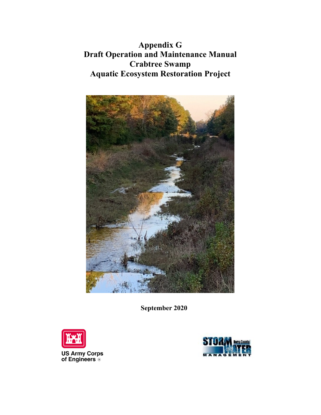**Appendix G Draft Operation and Maintenance Manual Crabtree Swamp Aquatic Ecosystem Restoration Project**



**September 2020** 



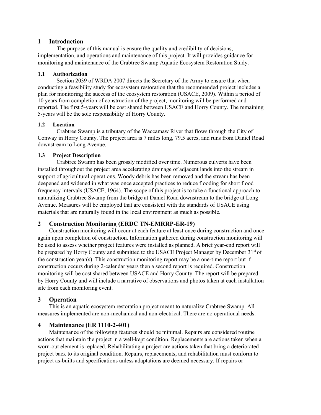## **1 Introduction**

The purpose of this manual is ensure the quality and credibility of decisions, implementation, and operations and maintenance of this project. It will provides guidance for monitoring and maintenance of the Crabtree Swamp Aquatic Ecosystem Restoration Study.

## **1.1 Authorization**

Section 2039 of WRDA 2007 directs the Secretary of the Army to ensure that when conducting a feasibility study for ecosystem restoration that the recommended project includes a plan for monitoring the success of the ecosystem restoration (USACE, 2009). Within a period of 10 years from completion of construction of the project, monitoring will be performed and reported. The first 5-years will be cost shared between USACE and Horry County. The remaining 5-years will be the sole responsibility of Horry County.

## **1.2 Location**

Crabtree Swamp is a tributary of the Waccamaw River that flows through the City of Conway in Horry County. The project area is 7 miles long, 79.5 acres, and runs from Daniel Road downstream to Long Avenue.

# **1.3 Project Description**

Crabtree Swamp has been grossly modified over time. Numerous culverts have been installed throughout the project area accelerating drainage of adjacent lands into the stream in support of agricultural operations. Woody debris has been removed and the stream has been deepened and widened in what was once accepted practices to reduce flooding for short flood frequency intervals (USACE, 1964). The scope of this project is to take a functional approach to naturalizing Crabtree Swamp from the bridge at Daniel Road downstream to the bridge at Long Avenue. Measures will be employed that are consistent with the standards of USACE using materials that are naturally found in the local environment as much as possible.

# **2 Construction Monitoring (ERDC TN-EMRRP-ER-19)**

Construction monitoring will occur at each feature at least once during construction and once again upon completion of construction. Information gathered during construction monitoring will be used to assess whether project features were installed as planned. A brief year-end report will be prepared by Horry County and submitted to the USACE Project Manager by December 31<sup>st</sup> of the construction year(s). This construction monitoring report may be a one-time report but if construction occurs during 2-calendar years then a second report is required. Construction monitoring will be cost shared between USACE and Horry County. The report will be prepared by Horry County and will include a narrative of observations and photos taken at each installation site from each monitoring event.

# **3 Operation**

This is an aquatic ecosystem restoration project meant to naturalize Crabtree Swamp. All measures implemented are non-mechanical and non-electrical. There are no operational needs.

# **4 Maintenance (ER 1110-2-401)**

Maintenance of the following features should be minimal. Repairs are considered routine actions that maintain the project in a well-kept condition. Replacements are actions taken when a worn-out element is replaced. Rehabilitating a project are actions taken that bring a deteriorated project back to its original condition. Repairs, replacements, and rehabilitation must conform to project as-builts and specifications unless adaptations are deemed necessary. If repairs or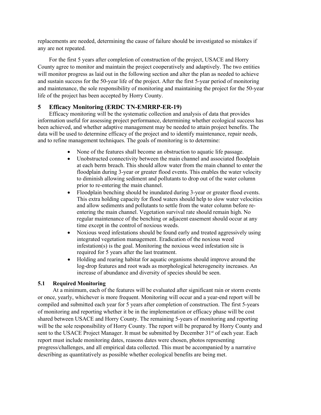replacements are needed, determining the cause of failure should be investigated so mistakes if any are not repeated.

For the first 5 years after completion of construction of the project, USACE and Horry County agree to monitor and maintain the project cooperatively and adaptively. The two entities will monitor progress as laid out in the following section and alter the plan as needed to achieve and sustain success for the 50-year life of the project. After the first 5-year period of monitoring and maintenance, the sole responsibility of monitoring and maintaining the project for the 50-year life of the project has been accepted by Horry County.

# **5 Efficacy Monitoring (ERDC TN-EMRRP-ER-19)**

Efficacy monitoring will be the systematic collection and analysis of data that provides information useful for assessing project performance, determining whether ecological success has been achieved, and whether adaptive management may be needed to attain project benefits. The data will be used to determine efficacy of the project and to identify maintenance, repair needs, and to refine management techniques. The goals of monitoring is to determine:

- None of the features shall become an obstruction to aquatic life passage.
- Unobstructed connectivity between the main channel and associated floodplain at each berm breach. This should allow water from the main channel to enter the floodplain during 3-year or greater flood events. This enables the water velocity to diminish allowing sediment and pollutants to drop out of the water column prior to re-entering the main channel.
- Floodplain benching should be inundated during 3-year or greater flood events. This extra holding capacity for flood waters should help to slow water velocities and allow sediments and pollutants to settle from the water column before reentering the main channel. Vegetation survival rate should remain high. No regular maintenance of the benching or adjacent easement should occur at any time except in the control of noxious weeds.
- Noxious weed infestations should be found early and treated aggressively using integrated vegetation management. Eradication of the noxious weed infestation(s) is the goal. Monitoring the noxious weed infestation site is required for 5 years after the last treatment.
- Holding and rearing habitat for aquatic organisms should improve around the log-drop features and root wads as morphological heterogeneity increases. An increase of abundance and diversity of species should be seen.

# **5.1 Required Monitoring**

At a minimum, each of the features will be evaluated after significant rain or storm events or once, yearly, whichever is more frequent. Monitoring will occur and a year-end report will be compiled and submitted each year for 5 years after completion of construction. The first 5-years of monitoring and reporting whether it be in the implementation or efficacy phase will be cost shared between USACE and Horry County. The remaining 5-years of monitoring and reporting will be the sole responsibility of Horry County. The report will be prepared by Horry County and sent to the USACE Project Manager. It must be submitted by December 31<sup>st</sup> of each year. Each report must include monitoring dates, reasons dates were chosen, photos representing progress/challenges, and all empirical data collected. This must be accompanied by a narrative describing as quantitatively as possible whether ecological benefits are being met.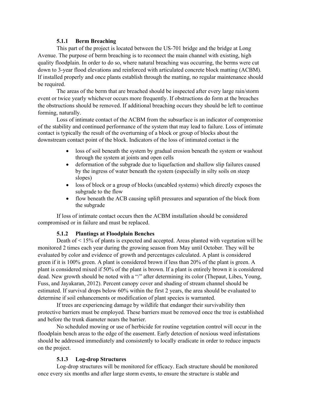#### **5.1.1 Berm Breaching**

This part of the project is located between the US-701 bridge and the bridge at Long Avenue. The purpose of berm breaching is to reconnect the main channel with existing, high quality floodplain. In order to do so, where natural breaching was occurring, the berms were cut down to 3-year flood elevations and reinforced with articulated concrete block matting (ACBM). If installed properly and once plants establish through the matting, no regular maintenance should be required.

The areas of the berm that are breached should be inspected after every large rain/storm event or twice yearly whichever occurs more frequently. If obstructions do form at the breaches the obstructions should be removed. If additional breaching occurs they should be left to continue forming, naturally.

Loss of intimate contact of the ACBM from the subsurface is an indicator of compromise of the stability and continued performance of the system that may lead to failure. Loss of intimate contact is typically the result of the overturning of a block or group of blocks about the downstream contact point of the block. Indicators of the loss of intimated contact is the

- loss of soil beneath the system by gradual erosion beneath the system or washout through the system at joints and open cells
- deformation of the subgrade due to liquefaction and shallow slip failures caused by the ingress of water beneath the system (especially in silty soils on steep slopes)
- loss of block or a group of blocks (uncabled systems) which directly exposes the subgrade to the flow
- flow beneath the ACB causing uplift pressures and separation of the block from the subgrade

If loss of intimate contact occurs then the ACBM installation should be considered compromised or in failure and must be replaced.

### **5.1.2 Plantings at Floodplain Benches**

Death of < 15% of plants is expected and accepted. Areas planted with vegetation will be monitored 2 times each year during the growing season from May until October. They will be evaluated by color and evidence of growth and percentages calculated. A plant is considered green if it is 100% green. A plant is considered brown if less than 20% of the plant is green. A plant is considered mixed if 50% of the plant is brown. If a plant is entirely brown it is considered dead. New growth should be noted with a "/" after determining its color (Thepaut, Libes, Young, Fuss, and Jayakaran, 2012). Percent canopy cover and shading of stream channel should be estimated. If survival drops below 60% within the first 2 years, the area should be evaluated to determine if soil enhancements or modification of plant species is warranted.

If trees are experiencing damage by wildlife that endanger their survivability then protective barriers must be employed. These barriers must be removed once the tree is established and before the trunk diameter nears the barrier.

No scheduled mowing or use of herbicide for routine vegetation control will occur in the floodplain bench areas to the edge of the easement. Early detection of noxious weed infestations should be addressed immediately and consistently to locally eradicate in order to reduce impacts on the project.

### **5.1.3 Log-drop Structures**

Log-drop structures will be monitored for efficacy. Each structure should be monitored once every six months and after large storm events, to ensure the structure is stable and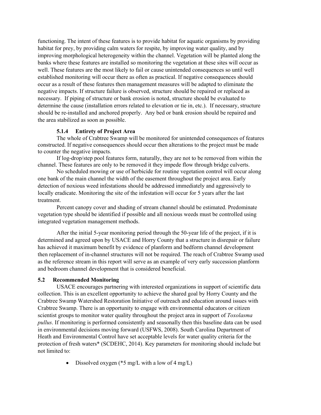functioning. The intent of these features is to provide habitat for aquatic organisms by providing habitat for prey, by providing calm waters for respite, by improving water quality, and by improving morphological heterogeneity within the channel. Vegetation will be planted along the banks where these features are installed so monitoring the vegetation at these sites will occur as well. These features are the most likely to fail or cause unintended consequences so until well established monitoring will occur there as often as practical. If negative consequences should occur as a result of these features then management measures will be adapted to eliminate the negative impacts. If structure failure is observed, structure should be repaired or replaced as necessary. If piping of structure or bank erosion is noted, structure should be evaluated to determine the cause (installation errors related to elevation or tie in, etc.). If necessary, structure should be re-installed and anchored properly. Any bed or bank erosion should be repaired and the area stabilized as soon as possible.

### **5.1.4 Entirety of Project Area**

The whole of Crabtree Swamp will be monitored for unintended consequences of features constructed. If negative consequences should occur then alterations to the project must be made to counter the negative impacts.

If log-drop/step pool features form, naturally, they are not to be removed from within the channel. These features are only to be removed it they impede flow through bridge culverts.

No scheduled mowing or use of herbicide for routine vegetation control will occur along one bank of the main channel the width of the easement throughout the project area. Early detection of noxious weed infestations should be addressed immediately and aggressively to locally eradicate. Monitoring the site of the infestation will occur for 5 years after the last treatment.

Percent canopy cover and shading of stream channel should be estimated. Predominate vegetation type should be identified if possible and all noxious weeds must be controlled using integrated vegetation management methods.

After the initial 5-year monitoring period through the 50-year life of the project, if it is determined and agreed upon by USACE and Horry County that a structure in disrepair or failure has achieved it maximum benefit by evidence of planform and bedform channel development then replacement of in-channel structures will not be required. The reach of Crabtree Swamp used as the reference stream in this report will serve as an example of very early succession planform and bedroom channel development that is considered beneficial.

#### **5.2 Recommended Monitoring**

USACE encourages partnering with interested organizations in support of scientific data collection. This is an excellent opportunity to achieve the shared goal by Horry County and the Crabtree Swamp Watershed Restoration Initiative of outreach and education around issues with Crabtree Swamp. There is an opportunity to engage with environmental educators or citizen scientist groups to monitor water quality throughout the project area in support of *Toxolasma pullus*. If monitoring is performed consistently and seasonally then this baseline data can be used in environmental decisions moving forward (USFWS, 2008). South Carolina Department of Heath and Environmental Control have set acceptable levels for water quality criteria for the protection of fresh waters\* (SCDEHC, 2014). Key parameters for monitoring should include but not limited to:

• Dissolved oxygen ( $*5$  mg/L with a low of 4 mg/L)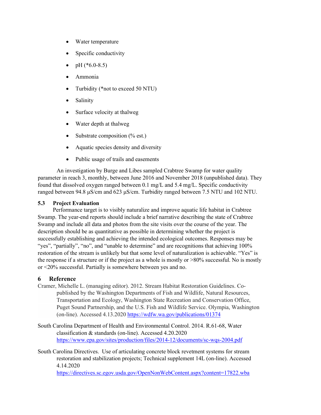- Water temperature
- Specific conductivity
- pH  $(*6.0-8.5)$
- Ammonia
- Turbidity (\*not to exceed 50 NTU)
- **Salinity**
- Surface velocity at thalweg
- Water depth at thalweg
- Substrate composition (% est.)
- Aquatic species density and diversity
- Public usage of trails and easements

An investigation by Burge and Libes sampled Crabtree Swamp for water quality parameter in reach 3, monthly, between June 2016 and November 2018 (unpublished data). They found that dissolved oxygen ranged between 0.1 mg/L and 5.4 mg/L. Specific conductivity ranged between 94.8 μS/cm and 623 μS/cm. Turbidity ranged between 7.5 NTU and 102 NTU.

### **5.3 Project Evaluation**

Performance target is to visibly naturalize and improve aquatic life habitat in Crabtree Swamp. The year-end reports should include a brief narrative describing the state of Crabtree Swamp and include all data and photos from the site visits over the course of the year. The description should be as quantitative as possible in determining whether the project is successfully establishing and achieving the intended ecological outcomes. Responses may be "yes", "partially", "no", and "unable to determine" and are recognitions that achieving 100% restoration of the stream is unlikely but that some level of naturalization is achievable. "Yes" is the response if a structure or if the project as a whole is mostly or >80% successful. No is mostly or <20% successful. Partially is somewhere between yes and no.

### **6 Reference**

- Cramer, Michelle L. (managing editor). 2012. Stream Habitat Restoration Guidelines. Copublished by the Washington Departments of Fish and Wildlife, Natural Resources, Transportation and Ecology, Washington State Recreation and Conservation Office, Puget Sound Partnership, and the U.S. Fish and Wildlife Service. Olympia, Washington (on-line). Accessed 4.13.2020<https://wdfw.wa.gov/publications/01374>
- South Carolina Department of Health and Environmental Control. 2014. R.61-68, Water classification & standards (on-line). Accessed 4.20.2020 <https://www.epa.gov/sites/production/files/2014-12/documents/sc-wqs-2004.pdf>
- South Carolina Directives. Use of articulating concrete block revetment systems for stream restoration and stabilization projects; Technical supplement 14L (on-line). Accessed 4.14.2020

<https://directives.sc.egov.usda.gov/OpenNonWebContent.aspx?content=17822.wba>